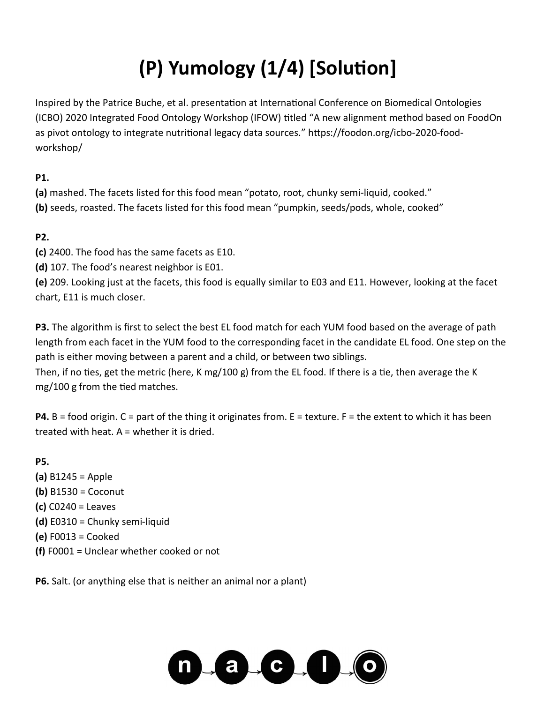# **(P) Yumology (1/4) [Solution]**

Inspired by the Patrice Buche, et al. presentation at International Conference on Biomedical Ontologies (ICBO) 2020 Integrated Food Ontology Workshop (IFOW) titled "A new alignment method based on FoodOn as pivot ontology to integrate nutritional legacy data sources." https://foodon.org/icbo-2020-foodworkshop/

**P1.** 

**(a)** mashed. The facets listed for this food mean "potato, root, chunky semi-liquid, cooked." **(b)** seeds, roasted. The facets listed for this food mean "pumpkin, seeds/pods, whole, cooked"

#### **P2.**

**(c)** 2400. The food has the same facets as E10.

**(d)** 107. The food's nearest neighbor is E01.

**(e)** 209. Looking just at the facets, this food is equally similar to E03 and E11. However, looking at the facet chart, E11 is much closer.

**P3.** The algorithm is first to select the best EL food match for each YUM food based on the average of path length from each facet in the YUM food to the corresponding facet in the candidate EL food. One step on the path is either moving between a parent and a child, or between two siblings.

Then, if no ties, get the metric (here, K mg/100 g) from the EL food. If there is a tie, then average the K mg/100 g from the tied matches.

**P4.** B = food origin. C = part of the thing it originates from. E = texture. F = the extent to which it has been treated with heat. A = whether it is dried.

**P5.** 

**(a)** B1245 = Apple **(b)** B1530 = Coconut **(c)** C0240 = Leaves **(d)** E0310 = Chunky semi-liquid **(e)** F0013 = Cooked **(f)** F0001 = Unclear whether cooked or not

**P6.** Salt. (or anything else that is neither an animal nor a plant)

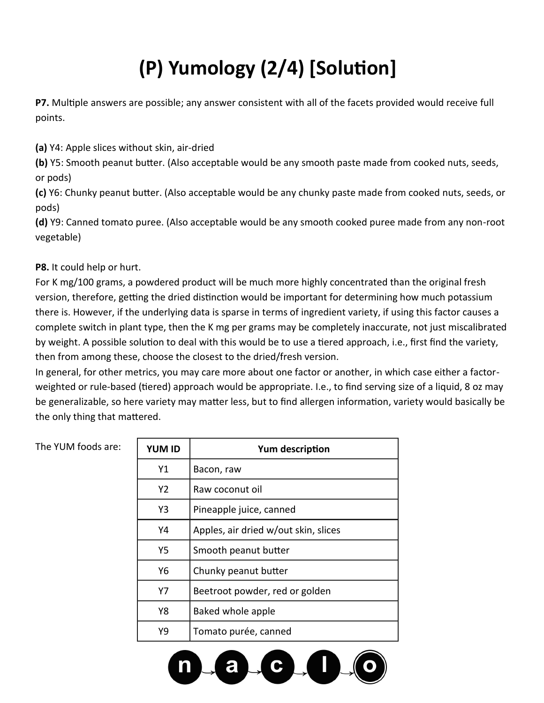## **(P) Yumology (2/4) [Solution]**

**P7.** Multiple answers are possible; any answer consistent with all of the facets provided would receive full points.

**(a)** Y4: Apple slices without skin, air-dried

**(b)** Y5: Smooth peanut butter. (Also acceptable would be any smooth paste made from cooked nuts, seeds, or pods)

**(c)** Y6: Chunky peanut butter. (Also acceptable would be any chunky paste made from cooked nuts, seeds, or pods)

**(d)** Y9: Canned tomato puree. (Also acceptable would be any smooth cooked puree made from any non-root vegetable)

**P8.** It could help or hurt.

For K mg/100 grams, a powdered product will be much more highly concentrated than the original fresh version, therefore, getting the dried distinction would be important for determining how much potassium there is. However, if the underlying data is sparse in terms of ingredient variety, if using this factor causes a complete switch in plant type, then the K mg per grams may be completely inaccurate, not just miscalibrated by weight. A possible solution to deal with this would be to use a tiered approach, i.e., first find the variety, then from among these, choose the closest to the dried/fresh version.

In general, for other metrics, you may care more about one factor or another, in which case either a factorweighted or rule-based (tiered) approach would be appropriate. I.e., to find serving size of a liquid, 8 oz may be generalizable, so here variety may matter less, but to find allergen information, variety would basically be the only thing that mattered.

| The YUM foods are: | <b>YUM ID</b>  | Yum description                      |
|--------------------|----------------|--------------------------------------|
|                    | Y1             | Bacon, raw                           |
|                    | Y <sub>2</sub> | Raw coconut oil                      |
|                    | Y3             | Pineapple juice, canned              |
|                    | Y4             | Apples, air dried w/out skin, slices |
|                    | <b>Y5</b>      | Smooth peanut butter                 |
|                    | Y6             | Chunky peanut butter                 |
|                    | Y7             | Beetroot powder, red or golden       |
|                    | Y8             | Baked whole apple                    |
|                    | Y9             | Tomato purée, canned                 |

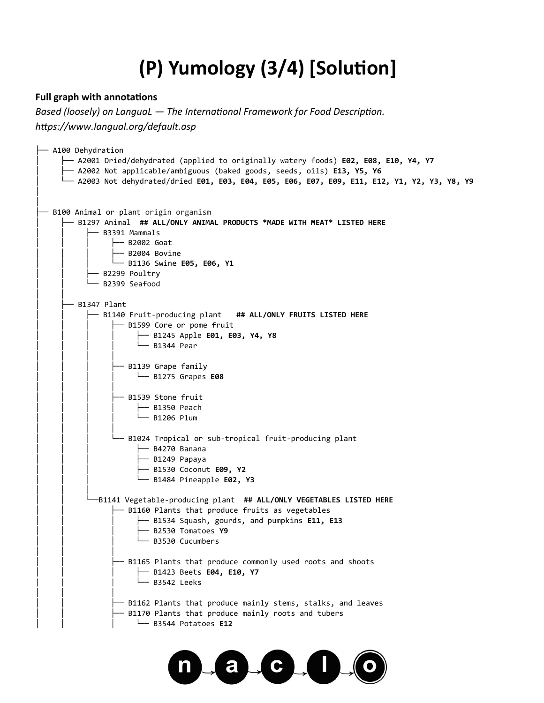## **(P) Yumology (3/4) [Solution]**

#### **Full graph with annotations**

*Based (loosely) on LanguaL — The International Framework for Food Description. https://www.langual.org/default.asp*

| - A100 Dehydration<br>$\overline{\phantom{X}}$ A2001 Dried/dehydrated (applied to originally watery foods) <b>E02, E08, E10, Y4, Y7</b><br>$\overline{\phantom{X}}$ <code>A2002</code> Not applicable/ambiguous (baked goods, seeds, oils) <code>E13, Y5, Y6</code><br>$\perp$ A2003 Not dehydrated/dried E01, E03, E04, E05, E06, E07, E09, E11, E12, Y1, Y2, Y3, Y8, Y9 |  |  |
|---------------------------------------------------------------------------------------------------------------------------------------------------------------------------------------------------------------------------------------------------------------------------------------------------------------------------------------------------------------------------|--|--|
| B100 Animal or plant origin organism<br>- B1297 Animal  ## ALL/ONLY ANIMAL PRODUCTS *MADE WITH MEAT* LISTED HERE<br>- B3391 Mammals<br>├─ B2002 Goat<br>├── B2004 Bovine<br>$-$ B1136 Swine E05, E06, Y1<br>- B2299 Poultry<br>- B2399 Seafood                                                                                                                            |  |  |
| B1347 Plant                                                                                                                                                                                                                                                                                                                                                               |  |  |
| - B1140 Fruit-producing plant   ## ALL/ONLY FRUITS LISTED HERE                                                                                                                                                                                                                                                                                                            |  |  |
| - B1599 Core or pome fruit                                                                                                                                                                                                                                                                                                                                                |  |  |
| $\leftarrow$ B1245 Apple E01, E03, Y4, Y8<br>$\Box$ B1344 Pear                                                                                                                                                                                                                                                                                                            |  |  |
|                                                                                                                                                                                                                                                                                                                                                                           |  |  |
| — B1139 Grape family                                                                                                                                                                                                                                                                                                                                                      |  |  |
| $\Box$ B1275 Grapes E08                                                                                                                                                                                                                                                                                                                                                   |  |  |
| - B1539 Stone fruit                                                                                                                                                                                                                                                                                                                                                       |  |  |
| — B1350 Peach                                                                                                                                                                                                                                                                                                                                                             |  |  |
| — B1206 Plum                                                                                                                                                                                                                                                                                                                                                              |  |  |
|                                                                                                                                                                                                                                                                                                                                                                           |  |  |
| — B1024 Tropical or sub-tropical fruit-producing plant                                                                                                                                                                                                                                                                                                                    |  |  |
| - B4270 Banana                                                                                                                                                                                                                                                                                                                                                            |  |  |
| ├― B1249 Papaya                                                                                                                                                                                                                                                                                                                                                           |  |  |
| - B1530 Coconut E09, Y2<br>$\Box$ B1484 Pineapple E02, Y3                                                                                                                                                                                                                                                                                                                 |  |  |
|                                                                                                                                                                                                                                                                                                                                                                           |  |  |
| -B1141 Vegetable-producing plant ## ALL/ONLY VEGETABLES LISTED HERE                                                                                                                                                                                                                                                                                                       |  |  |
| - B1160 Plants that produce fruits as vegetables                                                                                                                                                                                                                                                                                                                          |  |  |
| - B1534 Squash, gourds, and pumpkins E11, E13                                                                                                                                                                                                                                                                                                                             |  |  |
| - B2530 Tomatoes Y9<br>- B3530 Cucumbers                                                                                                                                                                                                                                                                                                                                  |  |  |
|                                                                                                                                                                                                                                                                                                                                                                           |  |  |
| - B1165 Plants that produce commonly used roots and shoots                                                                                                                                                                                                                                                                                                                |  |  |
| $\leftarrow$ B1423 Beets E04, E10, Y7                                                                                                                                                                                                                                                                                                                                     |  |  |
| - B3542 Leeks                                                                                                                                                                                                                                                                                                                                                             |  |  |
| — B1162 Plants that produce mainly stems, stalks, and leaves                                                                                                                                                                                                                                                                                                              |  |  |
| - B1170 Plants that produce mainly roots and tubers                                                                                                                                                                                                                                                                                                                       |  |  |
| $\Box$ B3544 Potatoes E12                                                                                                                                                                                                                                                                                                                                                 |  |  |
|                                                                                                                                                                                                                                                                                                                                                                           |  |  |